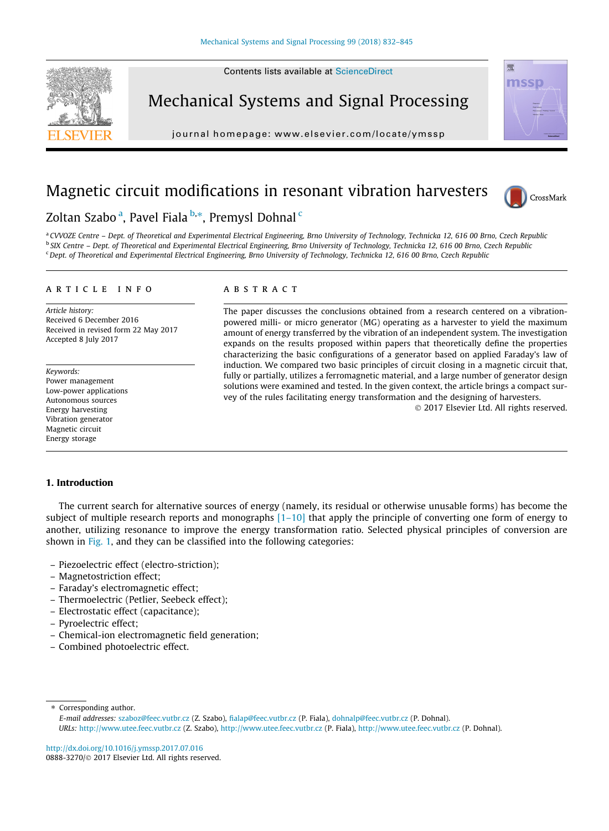

Mechanical Systems and Signal Processing

journal homepage: [www.elsevier.com/locate/ymssp](http://www.elsevier.com/locate/ymssp)



## Magnetic circuit modifications in resonant vibration harvesters



### Zoltan Szabo <sup>a</sup>, Pavel Fiala <sup>b,</sup>\*, Premysl Dohnal <sup>c</sup>

a CVVOZE Centre - Dept. of Theoretical and Experimental Electrical Engineering, Brno University of Technology, Technicka 12, 616 00 Brno, Czech Republic <sup>b</sup> SIX Centre - Dept. of Theoretical and Experimental Electrical Engineering, Brno University of Technology, Technicka 12, 616 00 Brno, Czech Republic <sup>c</sup> Dept. of Theoretical and Experimental Electrical Engineering, Brno University of Technology, Technicka 12, 616 00 Brno, Czech Republic

#### article info

Article history: Received 6 December 2016 Received in revised form 22 May 2017 Accepted 8 July 2017

Keywords: Power management Low-power applications Autonomous sources Energy harvesting Vibration generator Magnetic circuit Energy storage

#### **ABSTRACT**

The paper discusses the conclusions obtained from a research centered on a vibrationpowered milli- or micro generator (MG) operating as a harvester to yield the maximum amount of energy transferred by the vibration of an independent system. The investigation expands on the results proposed within papers that theoretically define the properties characterizing the basic configurations of a generator based on applied Faraday's law of induction. We compared two basic principles of circuit closing in a magnetic circuit that, fully or partially, utilizes a ferromagnetic material, and a large number of generator design solutions were examined and tested. In the given context, the article brings a compact survey of the rules facilitating energy transformation and the designing of harvesters.

2017 Elsevier Ltd. All rights reserved.

#### 1. Introduction

The current search for alternative sources of energy (namely, its residual or otherwise unusable forms) has become the subject of multiple research reports and monographs  $[1-10]$  that apply the principle of converting one form of energy to another, utilizing resonance to improve the energy transformation ratio. Selected physical principles of conversion are shown in Fig. 1, and they can be classified into the following categories:

- Piezoelectric effect (electro-striction);
- Magnetostriction effect;
- Faraday's electromagnetic effect;
- Thermoelectric (Petlier, Seebeck effect);
- Electrostatic effect (capacitance);
- Pyroelectric effect;
- Chemical-ion electromagnetic field generation;
- Combined photoelectric effect.

⇑ Corresponding author. E-mail addresses: [szaboz@feec.vutbr.cz](mailto:szaboz@feec.vutbr.cz) (Z. Szabo), [fialap@feec.vutbr.cz](mailto:fialap@feec.vutbr.cz) (P. Fiala), [dohnalp@feec.vutbr.cz](mailto:dohnalp@feec.vutbr.cz) (P. Dohnal). URLs: <http://www.utee.feec.vutbr.cz> (Z. Szabo), <http://www.utee.feec.vutbr.cz> (P. Fiala), <http://www.utee.feec.vutbr.cz> (P. Dohnal).

<http://dx.doi.org/10.1016/j.ymssp.2017.07.016> 0888-3270/© 2017 Elsevier Ltd. All rights reserved.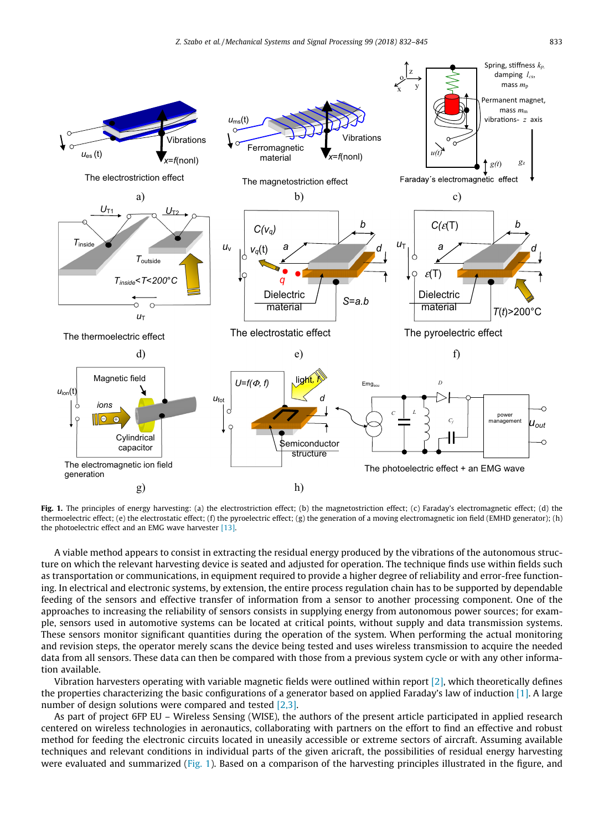

Fig. 1. The principles of energy harvesting: (a) the electrostriction effect; (b) the magnetostriction effect; (c) Faraday's electromagnetic effect; (d) the thermoelectric effect; (e) the electrostatic effect; (f) the pyroelectric effect; (g) the generation of a moving electromagnetic ion field (EMHD generator); (h) the photoelectric effect and an EMG wave harvester [13].

A viable method appears to consist in extracting the residual energy produced by the vibrations of the autonomous structure on which the relevant harvesting device is seated and adjusted for operation. The technique finds use within fields such as transportation or communications, in equipment required to provide a higher degree of reliability and error-free functioning. In electrical and electronic systems, by extension, the entire process regulation chain has to be supported by dependable feeding of the sensors and effective transfer of information from a sensor to another processing component. One of the approaches to increasing the reliability of sensors consists in supplying energy from autonomous power sources; for example, sensors used in automotive systems can be located at critical points, without supply and data transmission systems. These sensors monitor significant quantities during the operation of the system. When performing the actual monitoring and revision steps, the operator merely scans the device being tested and uses wireless transmission to acquire the needed data from all sensors. These data can then be compared with those from a previous system cycle or with any other information available.

Vibration harvesters operating with variable magnetic fields were outlined within report [2], which theoretically defines the properties characterizing the basic configurations of a generator based on applied Faraday's law of induction  $[1]$ . A large number of design solutions were compared and tested [2,3].

As part of project 6FP EU – Wireless Sensing (WISE), the authors of the present article participated in applied research centered on wireless technologies in aeronautics, collaborating with partners on the effort to find an effective and robust method for feeding the electronic circuits located in uneasily accessible or extreme sectors of aircraft. Assuming available techniques and relevant conditions in individual parts of the given aricraft, the possibilities of residual energy harvesting were evaluated and summarized (Fig. 1). Based on a comparison of the harvesting principles illustrated in the figure, and